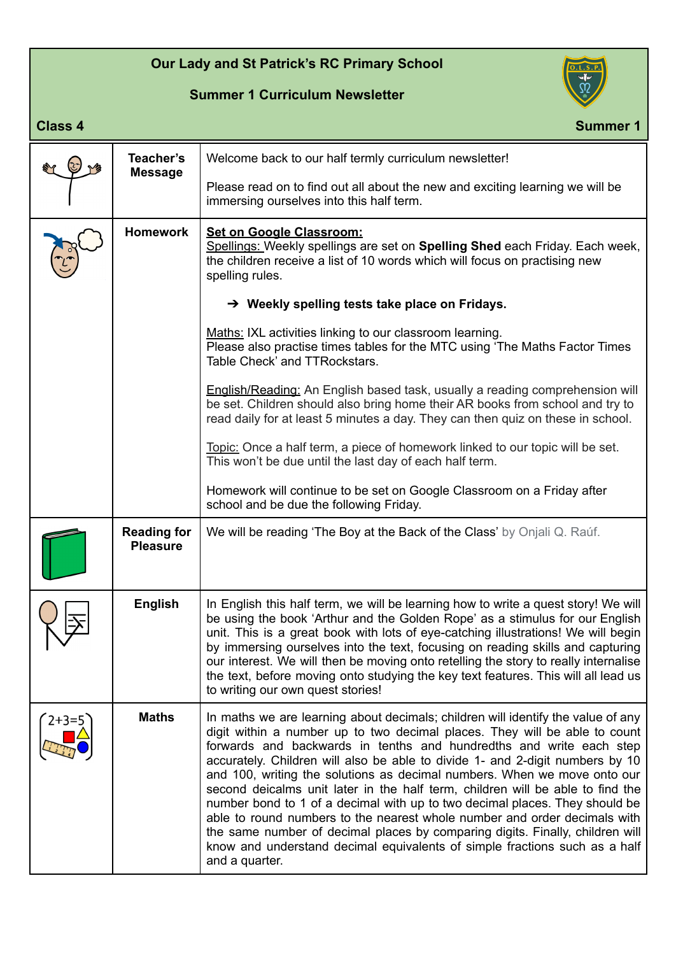## **Our Lady and St Patrick's RC Primary School**

## **Summer 1 Curriculum Newsletter**



## **Class 4** Summer 1

|         | Teacher's<br><b>Message</b>           | Welcome back to our half termly curriculum newsletter!                                                                                                                                                                                                                                                                                                                                                                                                                                                                                                                                                                                                                                                                                                                                                                            |
|---------|---------------------------------------|-----------------------------------------------------------------------------------------------------------------------------------------------------------------------------------------------------------------------------------------------------------------------------------------------------------------------------------------------------------------------------------------------------------------------------------------------------------------------------------------------------------------------------------------------------------------------------------------------------------------------------------------------------------------------------------------------------------------------------------------------------------------------------------------------------------------------------------|
|         |                                       | Please read on to find out all about the new and exciting learning we will be<br>immersing ourselves into this half term.                                                                                                                                                                                                                                                                                                                                                                                                                                                                                                                                                                                                                                                                                                         |
|         | <b>Homework</b>                       | <b>Set on Google Classroom:</b><br>Spellings: Weekly spellings are set on Spelling Shed each Friday. Each week,<br>the children receive a list of 10 words which will focus on practising new<br>spelling rules.                                                                                                                                                                                                                                                                                                                                                                                                                                                                                                                                                                                                                  |
|         |                                       | $\rightarrow$ Weekly spelling tests take place on Fridays.                                                                                                                                                                                                                                                                                                                                                                                                                                                                                                                                                                                                                                                                                                                                                                        |
|         |                                       | Maths: IXL activities linking to our classroom learning.<br>Please also practise times tables for the MTC using 'The Maths Factor Times<br>Table Check' and TTRockstars.                                                                                                                                                                                                                                                                                                                                                                                                                                                                                                                                                                                                                                                          |
|         |                                       | English/Reading: An English based task, usually a reading comprehension will<br>be set. Children should also bring home their AR books from school and try to<br>read daily for at least 5 minutes a day. They can then quiz on these in school.                                                                                                                                                                                                                                                                                                                                                                                                                                                                                                                                                                                  |
|         |                                       | Topic: Once a half term, a piece of homework linked to our topic will be set.<br>This won't be due until the last day of each half term.                                                                                                                                                                                                                                                                                                                                                                                                                                                                                                                                                                                                                                                                                          |
|         |                                       | Homework will continue to be set on Google Classroom on a Friday after<br>school and be due the following Friday.                                                                                                                                                                                                                                                                                                                                                                                                                                                                                                                                                                                                                                                                                                                 |
|         | <b>Reading for</b><br><b>Pleasure</b> | We will be reading 'The Boy at the Back of the Class' by Onjali Q. Raúf.                                                                                                                                                                                                                                                                                                                                                                                                                                                                                                                                                                                                                                                                                                                                                          |
|         | <b>English</b>                        | In English this half term, we will be learning how to write a quest story! We will<br>be using the book 'Arthur and the Golden Rope' as a stimulus for our English<br>unit. This is a great book with lots of eye-catching illustrations! We will begin<br>by immersing ourselves into the text, focusing on reading skills and capturing<br>our interest. We will then be moving onto retelling the story to really internalise<br>the text, before moving onto studying the key text features. This will all lead us<br>to writing our own quest stories!                                                                                                                                                                                                                                                                       |
| $2+3=5$ | <b>Maths</b>                          | In maths we are learning about decimals; children will identify the value of any<br>digit within a number up to two decimal places. They will be able to count<br>forwards and backwards in tenths and hundredths and write each step<br>accurately. Children will also be able to divide 1- and 2-digit numbers by 10<br>and 100, writing the solutions as decimal numbers. When we move onto our<br>second deicalms unit later in the half term, children will be able to find the<br>number bond to 1 of a decimal with up to two decimal places. They should be<br>able to round numbers to the nearest whole number and order decimals with<br>the same number of decimal places by comparing digits. Finally, children will<br>know and understand decimal equivalents of simple fractions such as a half<br>and a quarter. |